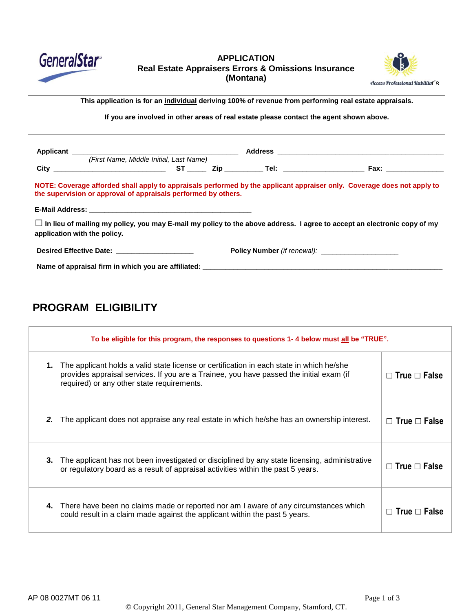

### **APPLICATION Real Estate Appraisers Errors & Omissions Insurance (Montana)**



Name> This application is for an <u>individual</u> deriving 100% of revenue from performing real estate appraisals.

 $\overline{a}$ **If you are involved in other areas of real estate please contact the agent shown above.**

|                                                                                             | (First Name, Middle Initial, Last Name) |  |  |                                                                                                                                |
|---------------------------------------------------------------------------------------------|-----------------------------------------|--|--|--------------------------------------------------------------------------------------------------------------------------------|
|                                                                                             |                                         |  |  |                                                                                                                                |
| the supervision or approval of appraisals performed by others.                              |                                         |  |  | NOTE: Coverage afforded shall apply to appraisals performed by the applicant appraiser only. Coverage does not apply to        |
|                                                                                             |                                         |  |  |                                                                                                                                |
| application with the policy.                                                                |                                         |  |  | $\Box$ In lieu of mailing my policy, you may E-mail my policy to the above address. I agree to accept an electronic copy of my |
| Desired Effective Date: New York 1999                                                       |                                         |  |  |                                                                                                                                |
| Name of appraisal firm in which you are affiliated: Name of approximation of appraisal firm |                                         |  |  |                                                                                                                                |

# **PROGRAM ELIGIBILITY**

| To be eligible for this program, the responses to questions 1-4 below must all be "TRUE". |                                                                                                                                                                                                                                   |                          |  |
|-------------------------------------------------------------------------------------------|-----------------------------------------------------------------------------------------------------------------------------------------------------------------------------------------------------------------------------------|--------------------------|--|
| 1.                                                                                        | The applicant holds a valid state license or certification in each state in which he/she<br>provides appraisal services. If you are a Trainee, you have passed the initial exam (if<br>required) or any other state requirements. | $\Box$ True $\Box$ False |  |
| 2.                                                                                        | The applicant does not appraise any real estate in which he/she has an ownership interest.                                                                                                                                        | $\Box$ True $\Box$ False |  |
| 3.                                                                                        | The applicant has not been investigated or disciplined by any state licensing, administrative<br>or regulatory board as a result of appraisal activities within the past 5 years.                                                 | $\Box$ True $\Box$ False |  |
| 4.                                                                                        | There have been no claims made or reported nor am I aware of any circumstances which<br>could result in a claim made against the applicant within the past 5 years.                                                               | $\Box$ True $\Box$ False |  |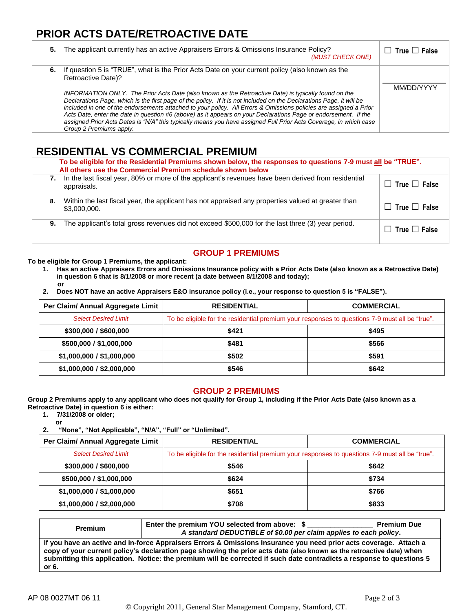# **PRIOR ACTS DATE/RETROACTIVE DATE**

| 5. | The applicant currently has an active Appraisers Errors & Omissions Insurance Policy?<br>(MUST CHECK ONE)                                                                                                                                                                                                                                                                                                                                                                                                                                                                                                                                                                                                                                       | $\Box$ True $\Box$ False |
|----|-------------------------------------------------------------------------------------------------------------------------------------------------------------------------------------------------------------------------------------------------------------------------------------------------------------------------------------------------------------------------------------------------------------------------------------------------------------------------------------------------------------------------------------------------------------------------------------------------------------------------------------------------------------------------------------------------------------------------------------------------|--------------------------|
|    | 6. If question 5 is "TRUE", what is the Prior Acts Date on your current policy (also known as the<br>Retroactive Date)?<br>INFORMATION ONLY. The Prior Acts Date (also known as the Retroactive Date) is typically found on the<br>Declarations Page, which is the first page of the policy. If it is not included on the Declarations Page, it will be<br>included in one of the endorsements attached to your policy. All Errors & Omissions policies are assigned a Prior<br>Acts Date, enter the date in question #6 (above) as it appears on your Declarations Page or endorsement. If the<br>assigned Prior Acts Dates is "N/A" this typically means you have assigned Full Prior Acts Coverage, in which case<br>Group 2 Premiums apply. | MM/DD/YYYY               |

## **RESIDENTIAL VS COMMERCIAL PREMIUM**

|    | To be eligible for the Residential Premiums shown below, the responses to questions 7-9 must all be "TRUE".<br>All others use the Commercial Premium schedule shown below |                          |  |  |
|----|---------------------------------------------------------------------------------------------------------------------------------------------------------------------------|--------------------------|--|--|
| 7. | In the last fiscal year, 80% or more of the applicant's revenues have been derived from residential<br>appraisals.                                                        | $\Box$ True $\Box$ False |  |  |
| 8. | Within the last fiscal year, the applicant has not appraised any properties valued at greater than<br>\$3,000,000.                                                        | $\Box$ True $\Box$ False |  |  |
| 9. | The applicant's total gross revenues did not exceed \$500,000 for the last three (3) year period.                                                                         | $\Box$ True $\Box$ False |  |  |

## **GROUP 1 PREMIUMS**

**To be eligible for Group 1 Premiums, the applicant:**

- **1. Has an active Appraisers Errors and Omissions Insurance policy with a Prior Acts Date (also known as a Retroactive Date) in question 6 that is 8/1/2008 or more recent (a date between 8/1/2008 and today); or**
- **2. Does NOT have an active Appraisers E&O insurance policy (i.e., your response to question 5 is "FALSE").**

| Per Claim/ Annual Aggregate Limit | <b>RESIDENTIAL</b>                                                                             | <b>COMMERCIAL</b> |  |
|-----------------------------------|------------------------------------------------------------------------------------------------|-------------------|--|
| <b>Select Desired Limit</b>       | To be eligible for the residential premium your responses to questions 7-9 must all be "true". |                   |  |
| \$300,000 / \$600,000             | \$421                                                                                          | \$495             |  |
| \$500,000 / \$1,000,000           | \$481                                                                                          | \$566             |  |
| \$1,000,000 / \$1,000,000         | \$502                                                                                          | \$591             |  |
| \$1,000,000 / \$2,000,000         | \$546                                                                                          | \$642             |  |

#### **GROUP 2 PREMIUMS**

**Group 2 Premiums apply to any applicant who does not qualify for Group 1, including if the Prior Acts Date (also known as a Retroactive Date) in question 6 is either:**

**1. 7/31/2008 or older;**

**or 2. "None", "Not Applicable", "N/A", "Full" or "Unlimited".**

| Per Claim/ Annual Aggregate Limit | <b>RESIDENTIAL</b>                                                                             | <b>COMMERCIAL</b> |  |
|-----------------------------------|------------------------------------------------------------------------------------------------|-------------------|--|
| <b>Select Desired Limit</b>       | To be eligible for the residential premium your responses to questions 7-9 must all be "true". |                   |  |
| \$300,000 / \$600,000             | \$546                                                                                          | \$642             |  |
| \$500,000 / \$1,000,000           | \$624                                                                                          | \$734             |  |
| \$1,000,000 / \$1,000,000         | \$651                                                                                          | \$766             |  |
| \$1,000,000 / \$2,000,000         | \$708                                                                                          | \$833             |  |

| <b>Premium</b>                                                                                                                                                                                                                                                                                                                                                              | Enter the premium YOU selected from above: \$<br>A standard DEDUCTIBLE of \$0.00 per claim applies to each policy. | <b>Premium Due</b> |  |
|-----------------------------------------------------------------------------------------------------------------------------------------------------------------------------------------------------------------------------------------------------------------------------------------------------------------------------------------------------------------------------|--------------------------------------------------------------------------------------------------------------------|--------------------|--|
| If you have an active and in-force Appraisers Errors & Omissions Insurance you need prior acts coverage. Attach a<br>copy of your current policy's declaration page showing the prior acts date (also known as the retroactive date) when<br>submitting this application. Notice: the premium will be corrected if such date contradicts a response to questions 5<br>or 6. |                                                                                                                    |                    |  |